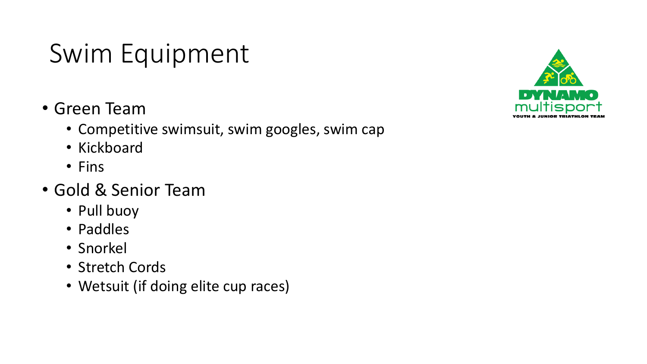## Swim Equipment

- Green Team
	- Competitive swimsuit, swim googles, swim cap
	- Kickboard
	- Fins
- Gold & Senior Team
	- Pull buoy
	- Paddles
	- Snorkel
	- Stretch Cords
	- Wetsuit (if doing elite cup races)

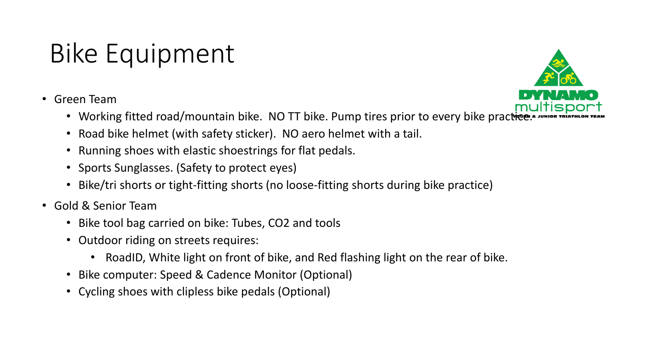## Bike Equipment

• Green Team



- Working fitted road/mountain bike. NO TT bike. Pump tires prior to every bike practice.
- Road bike helmet (with safety sticker). NO aero helmet with a tail.
- Running shoes with elastic shoestrings for flat pedals.
- Sports Sunglasses. (Safety to protect eyes)
- Bike/tri shorts or tight-fitting shorts (no loose-fitting shorts during bike practice)
- Gold & Senior Team
	- Bike tool bag carried on bike: Tubes, CO2 and tools
	- Outdoor riding on streets requires:
		- RoadID, White light on front of bike, and Red flashing light on the rear of bike.
	- Bike computer: Speed & Cadence Monitor (Optional)
	- Cycling shoes with clipless bike pedals (Optional)